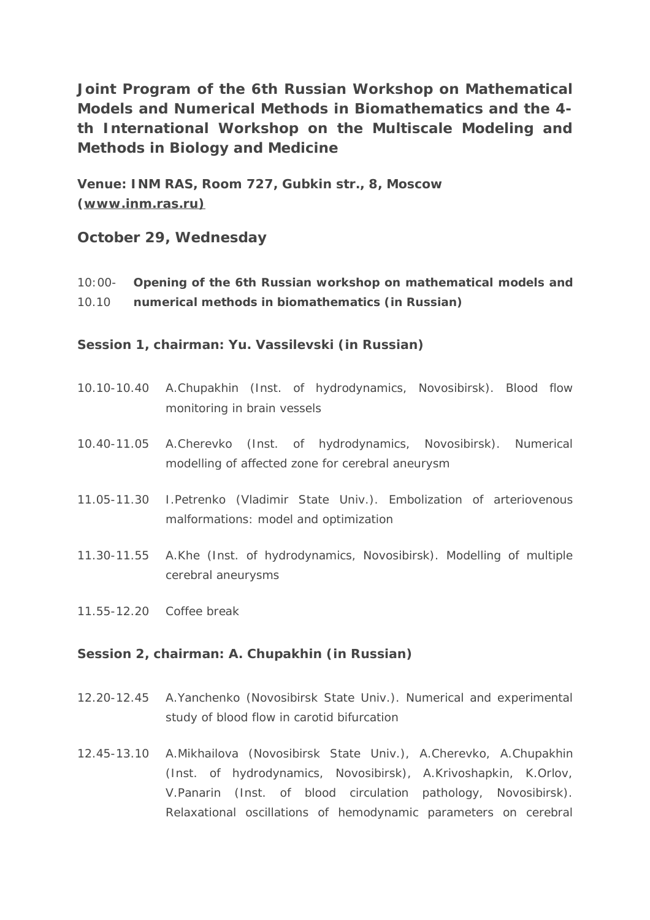**Joint Program of the 6th Russian Workshop on Mathematical Models and Numerical Methods in Biomathematics and the 4 th International Workshop on the Multiscale Modeling and Methods in Biology and Medicine** 

**Venue: INM RAS, Room 727, Gubkin str., 8, Moscow [\(www.inm.ras.ru\)](http://www.inm.ras.ru))**

# **October 29, Wednesday**

10:00- **Opening of the 6th Russian workshop on mathematical models and**  10.10 **numerical methods in biomathematics (in Russian)**

**Session 1, chairman: Yu. Vassilevski (in Russian)** 

- 10.10-10.40 A.Chupakhin (Inst. of hydrodynamics, Novosibirsk). Blood flow monitoring in brain vessels
- 10.40-11.05 A.Cherevko (Inst. of hydrodynamics, Novosibirsk). Numerical modelling of affected zone for cerebral aneurysm
- 11.05-11.30 I.Petrenko (Vladimir State Univ.). Embolization of arteriovenous malformations: model and optimization
- 11.30-11.55 A.Khe (Inst. of hydrodynamics, Novosibirsk). Modelling of multiple cerebral aneurysms
- 11.55-12.20 Coffee break

## **Session 2, chairman: A. Chupakhin (in Russian)**

- 12.20-12.45 A.Yanchenko (Novosibirsk State Univ.). Numerical and experimental study of blood flow in carotid bifurcation
- 12.45-13.10 A.Mikhailova (Novosibirsk State Univ.), A.Cherevko, A.Chupakhin (Inst. of hydrodynamics, Novosibirsk), A.Krivoshapkin, K.Orlov, V.Panarin (Inst. of blood circulation pathology, Novosibirsk). Relaxational oscillations of hemodynamic parameters on cerebral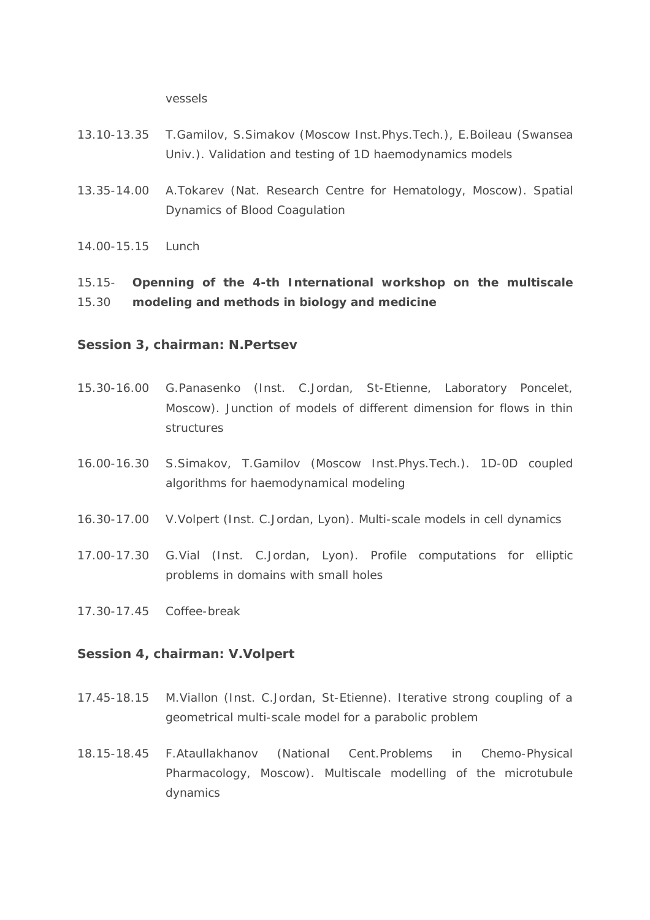vessels

- 13.10-13.35 T.Gamilov, S.Simakov (Moscow Inst.Phys.Tech.), E.Boileau (Swansea Univ.). Validation and testing of 1D haemodynamics models
- 13.35-14.00 A.Tokarev (Nat. Research Centre for Hematology, Moscow). Spatial Dynamics of Blood Coagulation

14.00-15.15 Lunch

15.15- 15.30 **Openning of the 4-th International workshop on the multiscale modeling and methods in biology and medicine**

#### **Session 3, chairman: N.Pertsev**

- 15.30-16.00 G.Panasenko (Inst. C.Jordan, St-Etienne, Laboratory Poncelet, Moscow). Junction of models of different dimension for flows in thin structures
- 16.00-16.30 S.Simakov, T.Gamilov (Moscow Inst.Phys.Tech.). 1D-0D coupled algorithms for haemodynamical modeling
- 16.30-17.00 V.Volpert (Inst. C.Jordan, Lyon). Multi-scale models in cell dynamics
- 17.00-17.30 G.Vial (Inst. C.Jordan, Lyon). Profile computations for elliptic problems in domains with small holes
- 17.30-17.45 Coffee-break

## **Session 4, chairman: V.Volpert**

- 17.45-18.15 M.Viallon (Inst. C.Jordan, St-Etienne). Iterative strong coupling of a geometrical multi-scale model for a parabolic problem
- 18.15-18.45 F.Ataullakhanov (National Cent.Problems in Chemo-Physical Pharmacology, Moscow). Multiscale modelling of the microtubule dynamics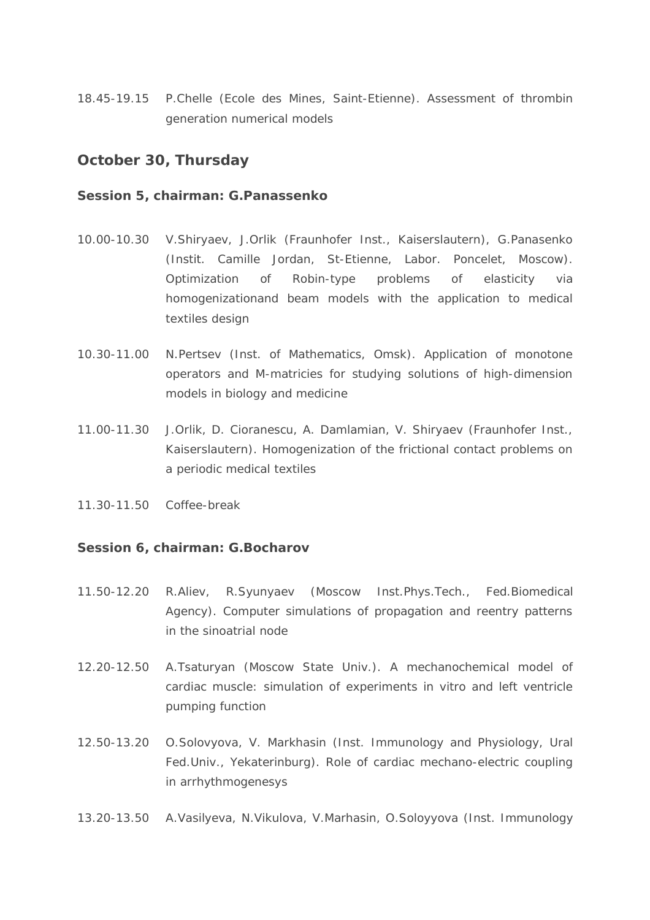18.45-19.15 P.Chelle (Ecole des Mines, Saint-Etienne). Assessment of thrombin generation numerical models

## **October 30, Thursday**

#### **Session 5, chairman: G.Panassenko**

- 10.00-10.30 V.Shiryaev, J.Orlik (Fraunhofer Inst., Kaiserslautern), G.Panasenko (Instit. Camille Jordan, St-Etienne, Labor. Poncelet, Moscow). Optimization of Robin-type problems of elasticity via homogenizationand beam models with the application to medical textiles design
- 10.30-11.00 N.Pertsev (Inst. of Mathematics, Omsk). Application of monotone operators and M-matricies for studying solutions of high-dimension models in biology and medicine
- 11.00-11.30 J.Orlik, D. Cioranescu, A. Damlamian, V. Shiryaev (Fraunhofer Inst., Kaiserslautern). Homogenization of the frictional contact problems on a periodic medical textiles
- 11.30-11.50 Coffee-break

### **Session 6, chairman: G.Bocharov**

- 11.50-12.20 R.Aliev, R.Syunyaev (Moscow Inst.Phys.Tech., Fed.Biomedical Agency). Computer simulations of propagation and reentry patterns in the sinoatrial node
- 12.20-12.50 A.Tsaturyan (Moscow State Univ.). A mechanochemical model of cardiac muscle: simulation of experiments in vitro and left ventricle pumping function
- 12.50-13.20 O.Solovyova, V. Markhasin (Inst. Immunology and Physiology, Ural Fed.Univ., Yekaterinburg). Role of cardiac mechano-electric coupling in arrhythmogenesys
- 13.20-13.50 A.Vasilyeva, N.Vikulova, V.Marhasin, O.Soloyyova (Inst. Immunology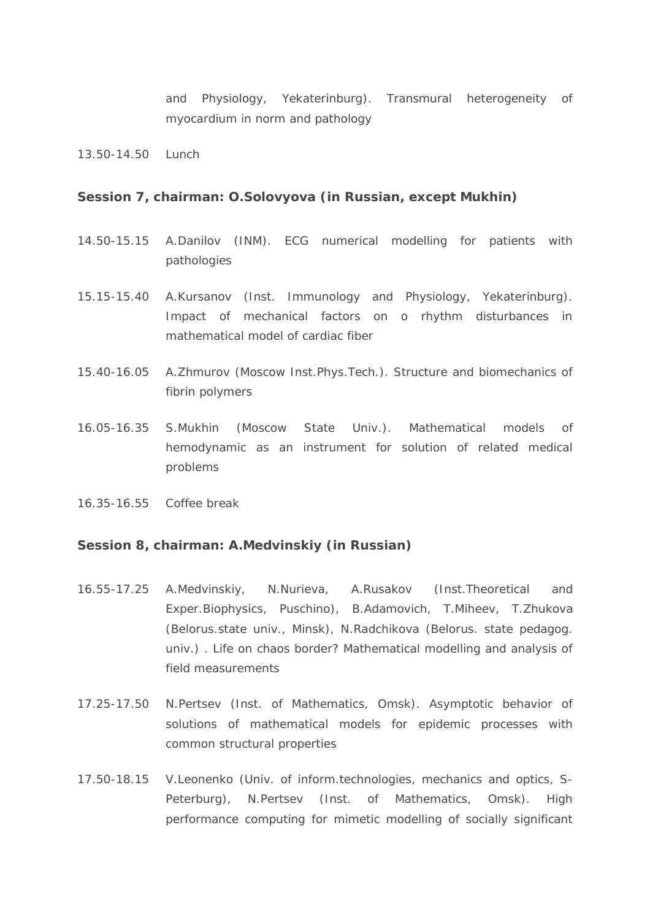and Physiology, Yekaterinburg). Transmural heterogeneity of myocardium in norm and pathology

13.50-14.50 Lunch

### **Session 7, chairman: O.Solovyova (in Russian, except Mukhin)**

- 14.50-15.15 A.Danilov (INM). ECG numerical modelling for patients with pathologies
- 15.15-15.40 A.Kursanov (Inst. Immunology and Physiology, Yekaterinburg). Impact of mechanical factors on o rhythm disturbances in mathematical model of cardiac fiber
- 15.40-16.05 A.Zhmurov (Moscow Inst.Phys.Tech.). Structure and biomechanics of fibrin polymers
- 16.05-16.35 S.Mukhin (Moscow State Univ.). Mathematical models of hemodynamic as an instrument for solution of related medical problems
- 16.35-16.55 Coffee break

#### **Session 8, chairman: A.Medvinskiy (in Russian)**

- 16.55-17.25 A.Medvinskiy, N.Nurieva, A.Rusakov (Inst.Theoretical and Exper.Biophysics, Puschino), B.Adamovich, T.Miheev, T.Zhukova (Belorus.state univ., Minsk), N.Radchikova (Belorus. state pedagog. univ.) . Life on chaos border? Mathematical modelling and analysis of field measurements
- 17.25-17.50 N.Pertsev (Inst. of Mathematics, Omsk). Asymptotic behavior of solutions of mathematical models for epidemic processes with common structural properties
- 17.50-18.15 V.Leonenko (Univ. of inform.technologies, mechanics and optics, S-Peterburg), N.Pertsev (Inst. of Mathematics, Omsk). High performance computing for mimetic modelling of socially significant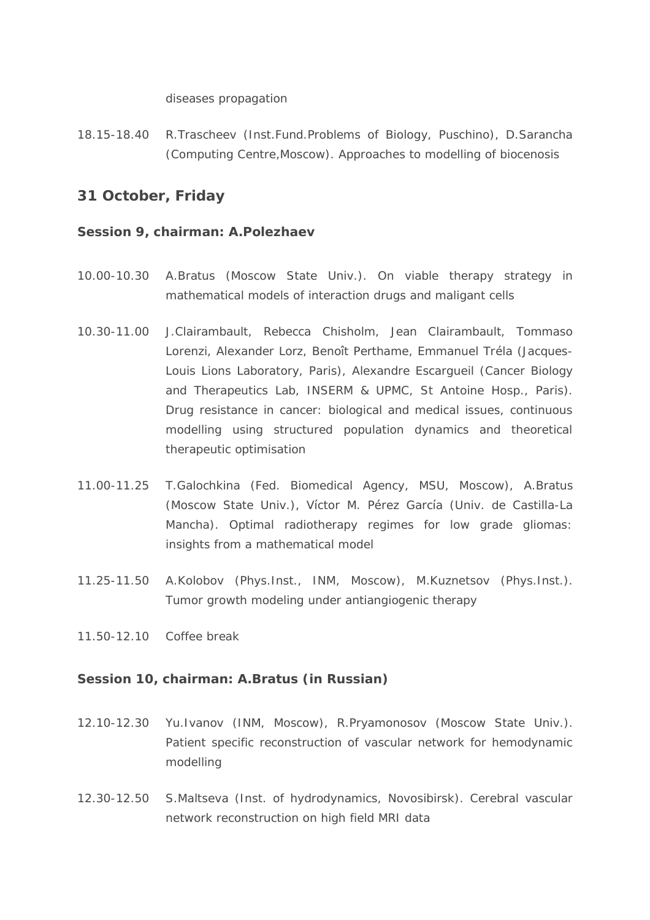#### diseases propagation

18.15-18.40 R.Trascheev (Inst.Fund.Problems of Biology, Puschino), D.Sarancha (Computing Centre, Moscow). Approaches to modelling of biocenosis

# 31 October, Friday

## Session 9, chairman: A.Polezhaev

- A.Bratus (Moscow State Univ.). On viable therapy strategy in 10.00-10.30 mathematical models of interaction drugs and maligant cells
- $10.30 11.00$ J.Clairambault, Rebecca Chisholm, Jean Clairambault, Tommaso Lorenzi, Alexander Lorz, Benoît Perthame, Emmanuel Tréla (Jacques-Louis Lions Laboratory, Paris), Alexandre Escargueil (Cancer Biology and Therapeutics Lab, INSERM & UPMC, St Antoine Hosp., Paris). Drug resistance in cancer: biological and medical issues, continuous modelling using structured population dynamics and theoretical therapeutic optimisation
- T.Galochkina (Fed. Biomedical Agency, MSU, Moscow), A.Bratus 11.00-11.25 (Moscow State Univ.), Víctor M. Pérez García (Univ. de Castilla-La Mancha). Optimal radiotherapy regimes for low grade gliomas: insights from a mathematical model
- 11.25-11.50 A.Kolobov (Phys.Inst., INM, Moscow), M.Kuznetsov (Phys.Inst.). Tumor growth modeling under antiangiogenic therapy
- 11.50-12.10 Coffee break

### Session 10, chairman: A.Bratus (in Russian)

- 12.10-12.30 Yu. Ivanov (INM, Moscow), R. Pryamonosov (Moscow State Univ.). Patient specific reconstruction of vascular network for hemodynamic modelling
- $12,30-12,50$ S.Maltseva (Inst. of hydrodynamics, Novosibirsk). Cerebral vascular network reconstruction on high field MRI data